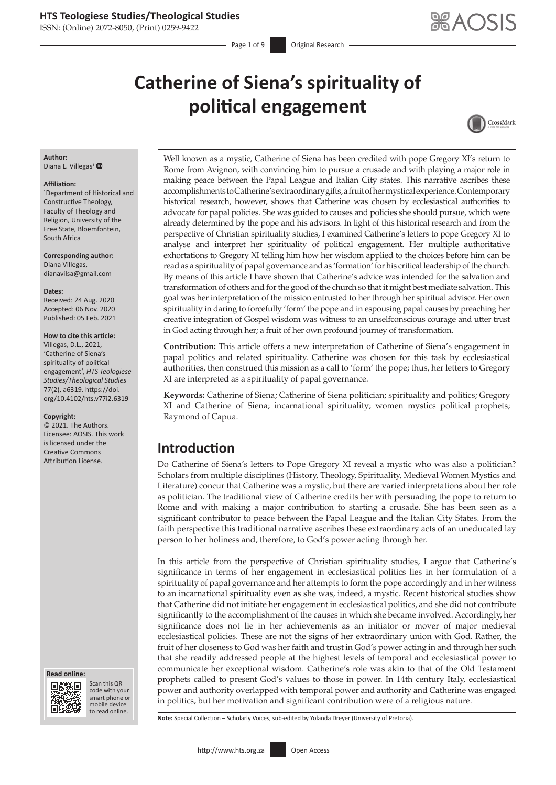ISSN: (Online) 2072-8050, (Print) 0259-9422

Page 1 of 9 **Original Research** 

# **Catherine of Siena's spirituality of political engagement**



#### **Author:**

Diana L. Villegas<sup>[1](https://orcid.org/0000-0002-6449-3153)</sup> $\bullet$ 

#### **Affiliation:**

1 Department of Historical and Constructive Theology, Faculty of Theology and Religion, University of the Free State, Bloemfontein, South Africa

**Corresponding author:** Diana Villegas, [dianavilsa@gmail.com](mailto:dianavilsa@gmail.com)

**Dates:** Received: 24 Aug. 2020 Accepted: 06 Nov. 2020 Published: 05 Feb. 2021

#### **How to cite this article:**

Villegas, D.L., 2021, 'Catherine of Siena's spirituality of political engagement', *HTS Teologiese Studies/Theological Studies* 77(2), a6319. [https://doi.](https://doi.org/10.4102/hts.v77i2.6319) [org/10.4102/hts.v77i2.6319](https://doi.org/10.4102/hts.v77i2.6319)

#### **Copyright:**

© 2021. The Authors. Licensee: AOSIS. This work is licensed under the Creative Commons Attribution License.





Scan this QR code with your Scan this QR<br>code with your<br>smart phone or<br>mobile device mobile device to read online. to read online.

Well known as a mystic, Catherine of Siena has been credited with pope Gregory XI's return to Rome from Avignon, with convincing him to pursue a crusade and with playing a major role in making peace between the Papal League and Italian City states. This narrative ascribes these accomplishments to Catherine's extraordinary gifts, a fruit of her mystical experience. Contemporary historical research, however, shows that Catherine was chosen by ecclesiastical authorities to advocate for papal policies. She was guided to causes and policies she should pursue, which were already determined by the pope and his advisors. In light of this historical research and from the perspective of Christian spirituality studies, I examined Catherine's letters to pope Gregory XI to analyse and interpret her spirituality of political engagement. Her multiple authoritative exhortations to Gregory XI telling him how her wisdom applied to the choices before him can be read as a spirituality of papal governance and as 'formation' for his critical leadership of the church. By means of this article I have shown that Catherine's advice was intended for the salvation and transformation of others and for the good of the church so that it might best mediate salvation. This goal was her interpretation of the mission entrusted to her through her spiritual advisor. Her own spirituality in daring to forcefully 'form' the pope and in espousing papal causes by preaching her creative integration of Gospel wisdom was witness to an unselfconscious courage and utter trust in God acting through her; a fruit of her own profound journey of transformation.

**Contribution:** This article offers a new interpretation of Catherine of Siena's engagement in papal politics and related spirituality. Catherine was chosen for this task by ecclesiastical authorities, then construed this mission as a call to 'form' the pope; thus, her letters to Gregory XI are interpreted as a spirituality of papal governance.

**Keywords:** Catherine of Siena; Catherine of Siena politician; spirituality and politics; Gregory XI and Catherine of Siena; incarnational spirituality; women mystics political prophets; Raymond of Capua.

# **Introduction**

Do Catherine of Siena's letters to Pope Gregory XI reveal a mystic who was also a politician? Scholars from multiple disciplines (History, Theology, Spirituality, Medieval Women Mystics and Literature) concur that Catherine was a mystic, but there are varied interpretations about her role as politician. The traditional view of Catherine credits her with persuading the pope to return to Rome and with making a major contribution to starting a crusade. She has been seen as a significant contributor to peace between the Papal League and the Italian City States. From the faith perspective this traditional narrative ascribes these extraordinary acts of an uneducated lay person to her holiness and, therefore, to God's power acting through her.

In this article from the perspective of Christian spirituality studies, I argue that Catherine's significance in terms of her engagement in ecclesiastical politics lies in her formulation of a spirituality of papal governance and her attempts to form the pope accordingly and in her witness to an incarnational spirituality even as she was, indeed, a mystic. Recent historical studies show that Catherine did not initiate her engagement in ecclesiastical politics, and she did not contribute significantly to the accomplishment of the causes in which she became involved. Accordingly, her significance does not lie in her achievements as an initiator or mover of major medieval ecclesiastical policies. These are not the signs of her extraordinary union with God. Rather, the fruit of her closeness to God was her faith and trust in God's power acting in and through her such that she readily addressed people at the highest levels of temporal and ecclesiastical power to communicate her exceptional wisdom. Catherine's role was akin to that of the Old Testament prophets called to present God's values to those in power. In 14th century Italy, ecclesiastical power and authority overlapped with temporal power and authority and Catherine was engaged in politics, but her motivation and significant contribution were of a religious nature.

**Note:** Special Collection – Scholarly Voices, sub-edited by Yolanda Dreyer (University of Pretoria).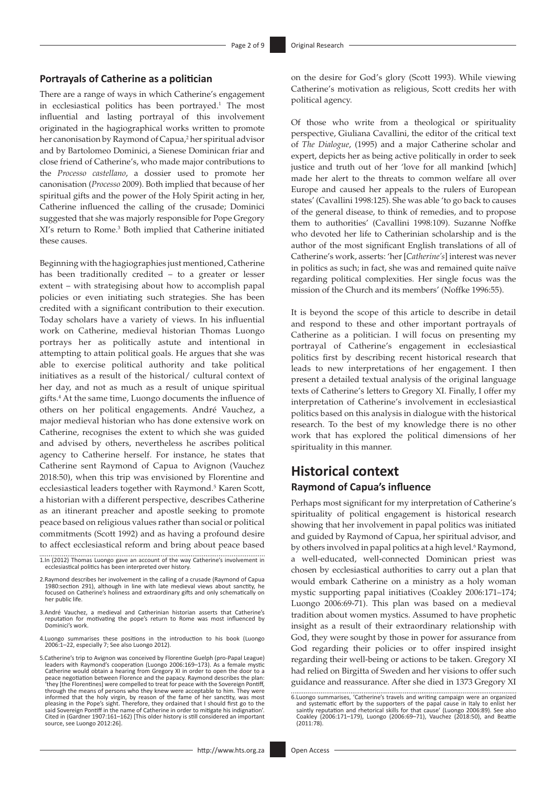#### **Portrayals of Catherine as a politician**

There are a range of ways in which Catherine's engagement in ecclesiastical politics has been portrayed.<sup>1</sup> The most influential and lasting portrayal of this involvement originated in the hagiographical works written to promote her canonisation by Raymond of Capua,<sup>2</sup> her spiritual advisor and by Bartolomeo Dominici, a Sienese Dominican friar and close friend of Catherine's, who made major contributions to the *Processo castellano*, a dossier used to promote her canonisation (*Processo* 2009). Both implied that because of her spiritual gifts and the power of the Holy Spirit acting in her, Catherine influenced the calling of the crusade; Dominici suggested that she was majorly responsible for Pope Gregory XI's return to Rome.<sup>3</sup> Both implied that Catherine initiated these causes.

Beginning with the hagiographies just mentioned, Catherine has been traditionally credited – to a greater or lesser extent – with strategising about how to accomplish papal policies or even initiating such strategies. She has been credited with a significant contribution to their execution. Today scholars have a variety of views. In his influential work on Catherine, medieval historian Thomas Luongo portrays her as politically astute and intentional in attempting to attain political goals. He argues that she was able to exercise political authority and take political initiatives as a result of the historical/ cultural context of her day, and not as much as a result of unique spiritual gifts.4 At the same time, Luongo documents the influence of others on her political engagements. André Vauchez, a major medieval historian who has done extensive work on Catherine, recognises the extent to which she was guided and advised by others, nevertheless he ascribes political agency to Catherine herself. For instance, he states that Catherine sent Raymond of Capua to Avignon (Vauchez 2018:50), when this trip was envisioned by Florentine and ecclesiastical leaders together with Raymond.<sup>5</sup> Karen Scott, a historian with a different perspective, describes Catherine as an itinerant preacher and apostle seeking to promote peace based on religious values rather than social or political commitments (Scott 1992) and as having a profound desire to affect ecclesiastical reform and bring about peace based

1.In (2012) Thomas Luongo gave an account of the way Catherine's involvement in ecclesiastical politics has been interpreted over history

2.Raymond describes her involvement in the calling of a crusade (Raymond of Capua 1980:section 291), although in line with late medieval views about sanctity, he focused on Catherine's holiness and extraordinary gifts and only schematically on her public life.

3.André Vauchez, a medieval and Catherinian historian asserts that Catherine's reputation for motivating the pope's return to Rome was most influenced by Dominici's work.

4.Luongo summarises these positions in the introduction to his book (Luongo 2006:1–22, especially 7; See also Luongo 2012).

5.Catherine's trip to Avignon was conceived by Florentine Guelph (pro-Papal League) leaders with Raymond's cooperation (Luongo 2006:169–173). As a female mystic Catherine would obtain a hearing from Gregory XI in order to open the door to a<br>peace negotiation between Florence and the papacy. Raymond describes the plan:<br>'they [the Florentines] were compelled to treat for peace with informed that the holy virgin, by reason of the fame of her sanctity, was most pleasing in the Pope's sight. Therefore, they ordained that I should first go to the said Sovereign Pontiff in the name of Catherine in order to mitigate his indignation'. Cited in (Gardner 1907:161–162) [This older history is still considered an important source, see Luongo 2012:26].

on the desire for God's glory (Scott 1993). While viewing Catherine's motivation as religious, Scott credits her with political agency.

Of those who write from a theological or spirituality perspective, Giuliana Cavallini, the editor of the critical text of *The Dialogue*, (1995) and a major Catherine scholar and expert, depicts her as being active politically in order to seek justice and truth out of her 'love for all mankind [which] made her alert to the threats to common welfare all over Europe and caused her appeals to the rulers of European states' (Cavallini 1998:125). She was able 'to go back to causes of the general disease, to think of remedies, and to propose them to authorities' (Cavallini 1998:109). Suzanne Noffke who devoted her life to Catherinian scholarship and is the author of the most significant English translations of all of Catherine's work, asserts: 'her [*Catherine's*] interest was never in politics as such; in fact, she was and remained quite naïve regarding political complexities. Her single focus was the mission of the Church and its members' (Noffke 1996:55).

It is beyond the scope of this article to describe in detail and respond to these and other important portrayals of Catherine as a politician. I will focus on presenting my portrayal of Catherine's engagement in ecclesiastical politics first by describing recent historical research that leads to new interpretations of her engagement. I then present a detailed textual analysis of the original language texts of Catherine's letters to Gregory XI. Finally, I offer my interpretation of Catherine's involvement in ecclesiastical politics based on this analysis in dialogue with the historical research. To the best of my knowledge there is no other work that has explored the political dimensions of her spirituality in this manner.

## **Historical context Raymond of Capua's influence**

Perhaps most significant for my interpretation of Catherine's spirituality of political engagement is historical research showing that her involvement in papal politics was initiated and guided by Raymond of Capua, her spiritual advisor, and by others involved in papal politics at a high level.<sup>6</sup> Raymond, a well-educated, well-connected Dominican priest was chosen by ecclesiastical authorities to carry out a plan that would embark Catherine on a ministry as a holy woman mystic supporting papal initiatives (Coakley 2006:171–174; Luongo 2006:69-71). This plan was based on a medieval tradition about women mystics. Assumed to have prophetic insight as a result of their extraordinary relationship with God, they were sought by those in power for assurance from God regarding their policies or to offer inspired insight regarding their well-being or actions to be taken. Gregory XI had relied on Birgitta of Sweden and her visions to offer such guidance and reassurance. After she died in 1373 Gregory XI

<sup>6.</sup>Luongo summarises, 'Catherine's travels and writing campaign were an organized<br>and systematic effort by the supporters of the papal cause in Italy to enlist her<br>saintly reputation and rhetorical skills for that cause' (L Coakley (2006:171–179), Luongo (2006:69–71), Vauchez (2018:50), and Beattie  $(2011.78)$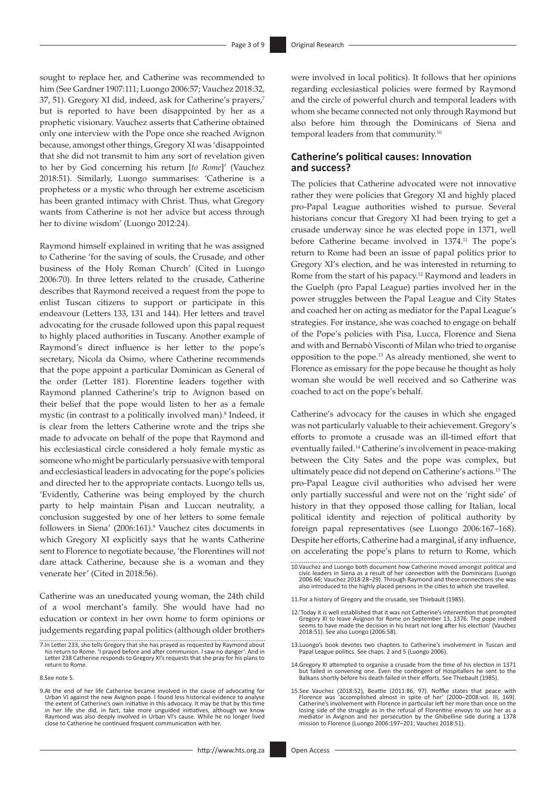sought to replace her, and Catherine was recommended to him (See Gardner 1907:111; Luongo 2006:57; Vauchez 2018:32, 37, 51). Gregory XI did, indeed, ask for Catherine's prayers,7 but is reported to have been disappointed by her as a prophetic visionary. Vauchez asserts that Catherine obtained only one interview with the Pope once she reached Avignon because, amongst other things, Gregory XI was 'disappointed that she did not transmit to him any sort of revelation given to her by God concerning his return [*to Rome*]' (Vauchez 2018:51). Similarly, Luongo summarises: 'Catherine is a prophetess or a mystic who through her extreme asceticism has been granted intimacy with Christ. Thus, what Gregory wants from Catherine is not her advice but access through her to divine wisdom' (Luongo 2012:24).

Raymond himself explained in writing that he was assigned to Catherine 'for the saving of souls, the Crusade, and other business of the Holy Roman Church' (Cited in Luongo 2006:70). In three letters related to the crusade, Catherine describes that Raymond received a request from the pope to enlist Tuscan citizens to support or participate in this endeavour (Letters 133, 131 and 144). Her letters and travel advocating for the crusade followed upon this papal request to highly placed authorities in Tuscany. Another example of Raymond's direct influence is her letter to the pope's secretary, Nicola da Osimo, where Catherine recommends that the pope appoint a particular Dominican as General of the order (Letter 181). Florentine leaders together with Raymond planned Catherine's trip to Avignon based on their belief that the pope would listen to her as a female mystic (in contrast to a politically involved man).<sup>8</sup> Indeed, it is clear from the letters Catherine wrote and the trips she made to advocate on behalf of the pope that Raymond and his ecclesiastical circle considered a holy female mystic as someone who might be particularly persuasive with temporal and ecclesiastical leaders in advocating for the pope's policies and directed her to the appropriate contacts. Luongo tells us, 'Evidently, Catherine was being employed by the church party to help maintain Pisan and Luccan neutrality, a conclusion suggested by one of her letters to some female followers in Siena' (2006:161).<sup>9</sup> Vauchez cites documents in which Gregory XI explicitly says that he wants Catherine sent to Florence to negotiate because, 'the Florentines will not dare attack Catherine, because she is a woman and they venerate her' (Cited in 2018:56).

Catherine was an uneducated young woman, the 24th child of a wool merchant's family. She would have had no education or context in her own home to form opinions or judgements regarding papal politics (although older brothers were involved in local politics). It follows that her opinions regarding ecclesiastical policies were formed by Raymond and the circle of powerful church and temporal leaders with whom she became connected not only through Raymond but also before him through the Dominicans of Siena and temporal leaders from that community.10

## **Catherine's political causes: Innovation and success?**

The policies that Catherine advocated were not innovative rather they were policies that Gregory XI and highly placed pro-Papal League authorities wished to pursue. Several historians concur that Gregory XI had been trying to get a crusade underway since he was elected pope in 1371, well before Catherine became involved in 1374.<sup>11</sup> The pope's return to Rome had been an issue of papal politics prior to Gregory XI's election, and he was interested in returning to Rome from the start of his papacy.12 Raymond and leaders in the Guelph (pro Papal League) parties involved her in the power struggles between the Papal League and City States and coached her on acting as mediator for the Papal League's strategies. For instance, she was coached to engage on behalf of the Pope's policies with Pisa, Lucca, Florence and Siena and with and Bernabò Visconti of Milan who tried to organise opposition to the pope.13 As already mentioned, she went to Florence as emissary for the pope because he thought as holy woman she would be well received and so Catherine was coached to act on the pope's behalf.

Catherine's advocacy for the causes in which she engaged was not particularly valuable to their achievement. Gregory's efforts to promote a crusade was an ill-timed effort that eventually failed.14 Catherine's involvement in peace-making between the City Sates and the pope was complex, but ultimately peace did not depend on Catherine's actions.15 The pro-Papal League civil authorities who advised her were only partially successful and were not on the 'right side' of history in that they opposed those calling for Italian, local political identity and rejection of political authority by foreign papal representatives (see Luongo 2006:167–168). Despite her efforts, Catherine had a marginal, if any influence, on accelerating the pope's plans to return to Rome, which

- 11.For a history of Gregory and the crusade, see Thiebault (1985).
- 12.'Today it is well established that it was not Catherine's intervention that prompted Gregory XI to leave Avignon for Rome on September 13, 1376. The pope indeed seems to have made the decision in his heart not long after his election' (Vauchez 2018:51). See also Luongo (2006:58).
- 13.Luongo's book devotes two chapters to Catherine's involvement in Tuscan and Papal League politics. See chaps. 2 and 5 (Luongo 2006).
- 14.Gregory XI attempted to organise a crusade from the time of his election in 1371 but failed in convening one. Even the contingent of Hospitallers he sent to the Balkans shortly before his death failed in their efforts. See Thiebault (1985).
- 15.See Vauchez (2018:52), Beattie (2011:86, 97). Noffke states that peace with Florence was 'accomplished almost in spite of her' (2000–2008:vol. III, 169). Catherine's involvement with Florence in particular left her more than once on the losing side of the struggle as in the refusal of Florentine envoys to use her as a mediator in Avignon and her persecution by the Ghibelline side during a 1378 mission to Florence (Luongo 2006:197–201; Vauchez 2018:51).

<sup>7.</sup>In Letter 233, she tells Gregory that she has prayed as requested by Raymond about his return to Rome. 'I prayed before and after communion. I saw no danger'. And in Letter 238 Catherine responds to Gregory XI's requests that she pray for his plans to return to Rome.

<sup>8.</sup>See note 5.

<sup>9.</sup>At the end of her life Catherine became involved in the cause of advocating for Urban VI against the new Avignon pope. I found less historical evidence to analyse the extent of Catherine's own initiative in this advocacy. It may be that by this time in her life she did, in fact, take more unguided initiatives, although we know Raymond was also deeply involved in Urban VI's cause. While he no longer lived close to Catherine he continued frequent communication with her.

<sup>10.</sup>Vauchez and Luongo both document how Catherine moved amongst political and civic leaders in Siena as a result of her connection with the Dominicans (Luongo 2006:66; Vauchez 2018:28–29). Through Raymond and these connections she was also introduced to the highly placed persons in the cities to which she travelled.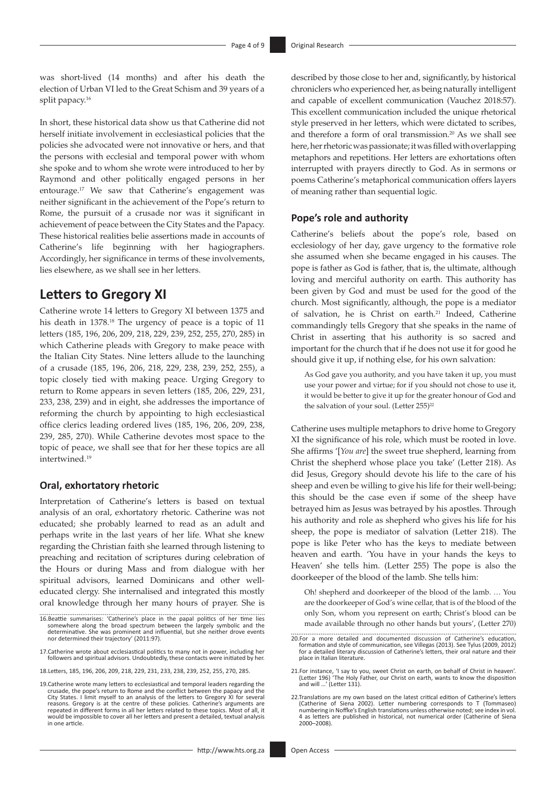was short-lived (14 months) and after his death the election of Urban VI led to the Great Schism and 39 years of a split papacy.16

In short, these historical data show us that Catherine did not herself initiate involvement in ecclesiastical policies that the policies she advocated were not innovative or hers, and that the persons with ecclesial and temporal power with whom she spoke and to whom she wrote were introduced to her by Raymond and other politically engaged persons in her entourage.17 We saw that Catherine's engagement was neither significant in the achievement of the Pope's return to Rome, the pursuit of a crusade nor was it significant in achievement of peace between the City States and the Papacy. These historical realities belie assertions made in accounts of Catherine's life beginning with her hagiographers. Accordingly, her significance in terms of these involvements, lies elsewhere, as we shall see in her letters.

## **Letters to Gregory XI**

Catherine wrote 14 letters to Gregory XI between 1375 and his death in 1378.<sup>18</sup> The urgency of peace is a topic of 11 letters (185, 196, 206, 209, 218, 229, 239, 252, 255, 270, 285) in which Catherine pleads with Gregory to make peace with the Italian City States. Nine letters allude to the launching of a crusade (185, 196, 206, 218, 229, 238, 239, 252, 255), a topic closely tied with making peace. Urging Gregory to return to Rome appears in seven letters (185, 206, 229, 231, 233, 238, 239) and in eight, she addresses the importance of reforming the church by appointing to high ecclesiastical office clerics leading ordered lives (185, 196, 206, 209, 238, 239, 285, 270). While Catherine devotes most space to the topic of peace, we shall see that for her these topics are all intertwined<sup>19</sup>

#### **Oral, exhortatory rhetoric**

Interpretation of Catherine's letters is based on textual analysis of an oral, exhortatory rhetoric. Catherine was not educated; she probably learned to read as an adult and perhaps write in the last years of her life. What she knew regarding the Christian faith she learned through listening to preaching and recitation of scriptures during celebration of the Hours or during Mass and from dialogue with her spiritual advisors, learned Dominicans and other welleducated clergy. She internalised and integrated this mostly oral knowledge through her many hours of prayer. She is

18.Letters, 185, 196, 206, 209, 218, 229, 231, 233, 238, 239, 252, 255, 270, 285.

<http://www.hts.org.za> Open Access

described by those close to her and, significantly, by historical chroniclers who experienced her, as being naturally intelligent and capable of excellent communication (Vauchez 2018:57). This excellent communication included the unique rhetorical style preserved in her letters, which were dictated to scribes, and therefore a form of oral transmission.<sup>20</sup> As we shall see here, her rhetoric was passionate; it was filled with overlapping metaphors and repetitions. Her letters are exhortations often interrupted with prayers directly to God. As in sermons or poems Catherine's metaphorical communication offers layers of meaning rather than sequential logic.

#### **Pope's role and authority**

Catherine's beliefs about the pope's role, based on ecclesiology of her day, gave urgency to the formative role she assumed when she became engaged in his causes. The pope is father as God is father, that is, the ultimate, although loving and merciful authority on earth. This authority has been given by God and must be used for the good of the church. Most significantly, although, the pope is a mediator of salvation, he is Christ on earth.<sup>21</sup> Indeed, Catherine commandingly tells Gregory that she speaks in the name of Christ in asserting that his authority is so sacred and important for the church that if he does not use it for good he should give it up, if nothing else, for his own salvation:

As God gave you authority, and you have taken it up, you must use your power and virtue; for if you should not chose to use it, it would be better to give it up for the greater honour of God and the salvation of your soul. (Letter 255)<sup>22</sup>

Catherine uses multiple metaphors to drive home to Gregory XI the significance of his role, which must be rooted in love. She affirms '[*You are*] the sweet true shepherd, learning from Christ the shepherd whose place you take' (Letter 218). As did Jesus, Gregory should devote his life to the care of his sheep and even be willing to give his life for their well-being; this should be the case even if some of the sheep have betrayed him as Jesus was betrayed by his apostles. Through his authority and role as shepherd who gives his life for his sheep, the pope is mediator of salvation (Letter 218). The pope is like Peter who has the keys to mediate between heaven and earth. 'You have in your hands the keys to Heaven' she tells him. (Letter 255) The pope is also the doorkeeper of the blood of the lamb. She tells him:

Oh! shepherd and doorkeeper of the blood of the lamb. … You are the doorkeeper of God's wine cellar, that is of the blood of the only Son, whom you represent on earth; Christ's blood can be made available through no other hands but yours', (Letter 270)

<sup>16.</sup> Beattie summarises: 'Catherine's place in the papal politics of her time lies<br>omewhere along the broad spectrum between the largely symbolic and the<br>determinative. She was prominent and influential, but she neither dro nor determined their trajectory' (2011:97).

<sup>17.</sup>Catherine wrote about ecclesiastical politics to many not in power, including her followers and spiritual advisors. Undoubtedly, these contacts were initiated by her.

<sup>19.</sup>Catherine wrote many letters to ecclesiastical and temporal leaders regarding the crusade, the pope's return to Rome and the conflict between the papacy and the City States. I limit myself to an analysis of the letters to Gregory XI for several<br>reasons. Gregory is at the centre of these policies. Catherine's arguments are<br>repeated in different forms in all her letters related to t would be impossible to cover all her letters and present a detailed, textual analysis in one article.

<sup>20.</sup>For a more detailed and documented discussion of Catherine's education, formation and style of communication, see Villegas (2013). See Tylus (2009, 2012) for a detailed literary discussion of Catherine's letters, their oral nature and their place in Italian literature.

<sup>21.</sup>For instance, 'I say to you, sweet Christ on earth, on behalf of Christ in heaven'. (Letter 196) 'The Holy Father, our Christ on earth, wants to know the disposition and will …' (Letter 131).

<sup>22.</sup>Translations are my own based on the latest critical edition of Catherine's letters<br>(Catherine of Siena 2002). Letter numbering corresponds to T (Tommaseo)<br>numbering in Noffke's English translations unless otherwise not as letters are published in historical, not numerical order (Catherine of Siena 2000–2008).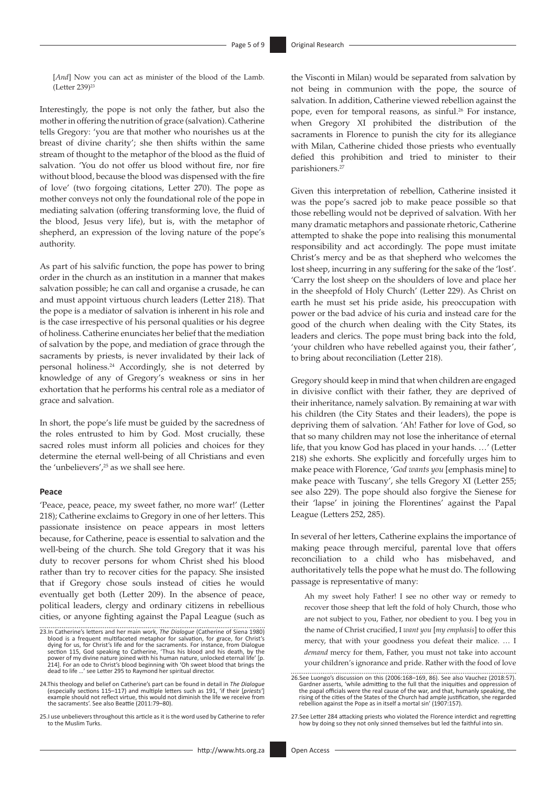[*And*] Now you can act as minister of the blood of the Lamb. (Letter 239)<sup>23</sup>

Interestingly, the pope is not only the father, but also the mother in offering the nutrition of grace (salvation). Catherine tells Gregory: 'you are that mother who nourishes us at the breast of divine charity'; she then shifts within the same stream of thought to the metaphor of the blood as the fluid of salvation. 'You do not offer us blood without fire, nor fire without blood, because the blood was dispensed with the fire of love' (two forgoing citations, Letter 270). The pope as mother conveys not only the foundational role of the pope in mediating salvation (offering transforming love, the fluid of the blood, Jesus very life), but is, with the metaphor of shepherd, an expression of the loving nature of the pope's authority.

As part of his salvific function, the pope has power to bring order in the church as an institution in a manner that makes salvation possible; he can call and organise a crusade, he can and must appoint virtuous church leaders (Letter 218). That the pope is a mediator of salvation is inherent in his role and is the case irrespective of his personal qualities or his degree of holiness. Catherine enunciates her belief that the mediation of salvation by the pope, and mediation of grace through the sacraments by priests, is never invalidated by their lack of personal holiness.24 Accordingly, she is not deterred by knowledge of any of Gregory's weakness or sins in her exhortation that he performs his central role as a mediator of grace and salvation.

In short, the pope's life must be guided by the sacredness of the roles entrusted to him by God. Most crucially, these sacred roles must inform all policies and choices for they determine the eternal well-being of all Christians and even the 'unbelievers',<sup>25</sup> as we shall see here.

#### **Peace**

'Peace, peace, peace, my sweet father, no more war!' (Letter 218); Catherine exclaims to Gregory in one of her letters. This passionate insistence on peace appears in most letters because, for Catherine, peace is essential to salvation and the well-being of the church. She told Gregory that it was his duty to recover persons for whom Christ shed his blood rather than try to recover cities for the papacy. She insisted that if Gregory chose souls instead of cities he would eventually get both (Letter 209). In the absence of peace, political leaders, clergy and ordinary citizens in rebellious cities, or anyone fighting against the Papal League (such as

the Visconti in Milan) would be separated from salvation by not being in communion with the pope, the source of salvation. In addition, Catherine viewed rebellion against the pope, even for temporal reasons, as sinful.<sup>26</sup> For instance, when Gregory XI prohibited the distribution of the sacraments in Florence to punish the city for its allegiance with Milan, Catherine chided those priests who eventually defied this prohibition and tried to minister to their parishioners.<sup>27</sup>

Given this interpretation of rebellion, Catherine insisted it was the pope's sacred job to make peace possible so that those rebelling would not be deprived of salvation. With her many dramatic metaphors and passionate rhetoric, Catherine attempted to shake the pope into realising this monumental responsibility and act accordingly. The pope must imitate Christ's mercy and be as that shepherd who welcomes the lost sheep, incurring in any suffering for the sake of the 'lost'. 'Carry the lost sheep on the shoulders of love and place her in the sheepfold of Holy Church' (Letter 229). As Christ on earth he must set his pride aside, his preoccupation with power or the bad advice of his curia and instead care for the good of the church when dealing with the City States, its leaders and clerics. The pope must bring back into the fold, 'your children who have rebelled against you, their father', to bring about reconciliation (Letter 218).

Gregory should keep in mind that when children are engaged in divisive conflict with their father, they are deprived of their inheritance, namely salvation. By remaining at war with his children (the City States and their leaders), the pope is depriving them of salvation. 'Ah! Father for love of God, so that so many children may not lose the inheritance of eternal life, that you know God has placed in your hands. …' (Letter 218) she exhorts. She explicitly and forcefully urges him to make peace with Florence, '*God wants you* [emphasis mine] to make peace with Tuscany', she tells Gregory XI (Letter 255; see also 229). The pope should also forgive the Sienese for their 'lapse' in joining the Florentines' against the Papal League (Letters 252, 285).

In several of her letters, Catherine explains the importance of making peace through merciful, parental love that offers reconciliation to a child who has misbehaved, and authoritatively tells the pope what he must do. The following passage is representative of many:

Ah my sweet holy Father! I see no other way or remedy to recover those sheep that left the fold of holy Church, those who are not subject to you, Father, nor obedient to you. I beg you in the name of Christ crucified, I *want you* [*my emphasis*] to offer this mercy, that with your goodness you defeat their malice. … I *demand* mercy for them, Father, you must not take into account your children's ignorance and pride. Rather with the food of love

<sup>23.</sup>In Catherine's letters and her main work, *The Dialogue* (Catherine of Siena 1980) blood is a frequent multifaceted metaphor for salvation, for grace, for Christ's dying for us, for Christ's life and for the sacraments. For instance, from Dialogue section 115, God speaking to Catherine, 'Thus his blood and his death, by the power of my divine nature joined with his human nature, unlocked eternal life' [p.<br>214]. For an ode to Christ's blood beginning with 'Oh sweet blood that brings the<br>dead to life ...' see Letter 295 to Raymond her spiritual

<sup>24.</sup>This theology and belief on Catherine's part can be found in detail in *The Dialogue* (especially sections 115–117) and multiple letters such as 191, 'if their [*priests'*] example should not reflect virtue, this would not diminish the life we receive from the sacraments'. See also Beattie (2011:79–80).

<sup>25.</sup>I use unbelievers throughout this article as it is the word used by Catherine to refer to the Muslim Turks.

<sup>26.</sup>See Luongo's discussion on this (2006:168–169, 86). See also Vauchez (2018:57). Gardner asserts, 'while admitting to the full that the iniquities and oppression of the papal officials were the real cause of the war, and that, humanly speaking, the rising of the cities of the States of the Church had ample justification, she regarded rebellion against the Pope as in itself a mortal sin' (1907:157).

<sup>27.</sup>See Letter 284 attacking priests who violated the Florence interdict and regretting how by doing so they not only sinned themselves but led the faithful into sin.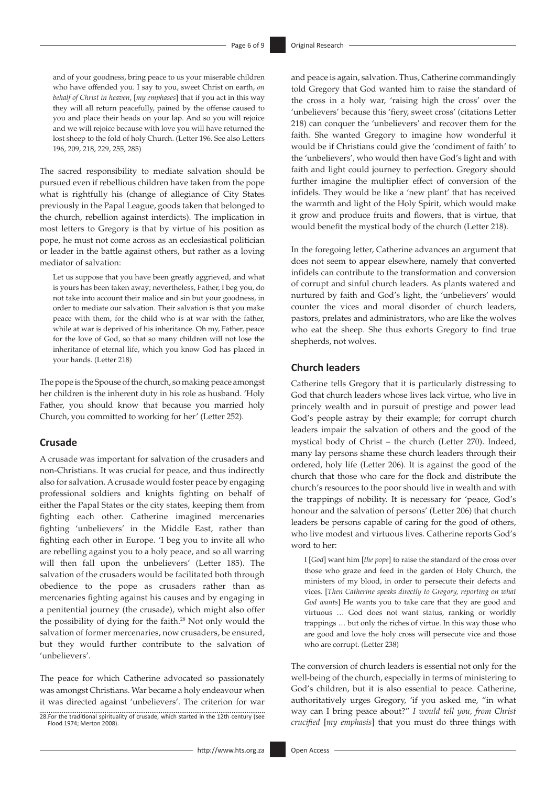and of your goodness, bring peace to us your miserable children who have offended you. I say to you, sweet Christ on earth, *on behalf of Christ in heaven*, [*my emphases*] that if you act in this way they will all return peacefully, pained by the offense caused to you and place their heads on your lap. And so you will rejoice and we will rejoice because with love you will have returned the lost sheep to the fold of holy Church. (Letter 196. See also Letters 196, 209, 218, 229, 255, 285)

The sacred responsibility to mediate salvation should be pursued even if rebellious children have taken from the pope what is rightfully his (change of allegiance of City States previously in the Papal League, goods taken that belonged to the church, rebellion against interdicts). The implication in most letters to Gregory is that by virtue of his position as pope, he must not come across as an ecclesiastical politician or leader in the battle against others, but rather as a loving mediator of salvation:

Let us suppose that you have been greatly aggrieved, and what is yours has been taken away; nevertheless, Father, I beg you, do not take into account their malice and sin but your goodness, in order to mediate our salvation. Their salvation is that you make peace with them, for the child who is at war with the father, while at war is deprived of his inheritance. Oh my, Father, peace for the love of God, so that so many children will not lose the inheritance of eternal life, which you know God has placed in your hands. (Letter 218)

The pope is the Spouse of the church, so making peace amongst her children is the inherent duty in his role as husband. 'Holy Father, you should know that because you married holy Church, you committed to working for her' (Letter 252).

#### **Crusade**

A crusade was important for salvation of the crusaders and non-Christians. It was crucial for peace, and thus indirectly also for salvation. A crusade would foster peace by engaging professional soldiers and knights fighting on behalf of either the Papal States or the city states, keeping them from fighting each other. Catherine imagined mercenaries fighting 'unbelievers' in the Middle East, rather than fighting each other in Europe. 'I beg you to invite all who are rebelling against you to a holy peace, and so all warring will then fall upon the unbelievers' (Letter 185). The salvation of the crusaders would be facilitated both through obedience to the pope as crusaders rather than as mercenaries fighting against his causes and by engaging in a penitential journey (the crusade), which might also offer the possibility of dying for the faith.<sup>28</sup> Not only would the salvation of former mercenaries, now crusaders, be ensured, but they would further contribute to the salvation of 'unbelievers'.

The peace for which Catherine advocated so passionately was amongst Christians. War became a holy endeavour when it was directed against 'unbelievers'. The criterion for war 28.For the traditional spirituality of crusade, which started in the 12th century (see

Flood 1974; Merton 2008).

and peace is again, salvation. Thus, Catherine commandingly told Gregory that God wanted him to raise the standard of the cross in a holy war, 'raising high the cross' over the 'unbelievers' because this 'fiery, sweet cross' (citations Letter 218) can conquer the 'unbelievers' and recover them for the faith. She wanted Gregory to imagine how wonderful it would be if Christians could give the 'condiment of faith' to the 'unbelievers', who would then have God's light and with faith and light could journey to perfection. Gregory should further imagine the multiplier effect of conversion of the infidels. They would be like a 'new plant' that has received the warmth and light of the Holy Spirit, which would make it grow and produce fruits and flowers, that is virtue, that would benefit the mystical body of the church (Letter 218).

In the foregoing letter, Catherine advances an argument that does not seem to appear elsewhere, namely that converted infidels can contribute to the transformation and conversion of corrupt and sinful church leaders. As plants watered and nurtured by faith and God's light, the 'unbelievers' would counter the vices and moral disorder of church leaders, pastors, prelates and administrators, who are like the wolves who eat the sheep. She thus exhorts Gregory to find true shepherds, not wolves.

### **Church leaders**

Catherine tells Gregory that it is particularly distressing to God that church leaders whose lives lack virtue, who live in princely wealth and in pursuit of prestige and power lead God's people astray by their example; for corrupt church leaders impair the salvation of others and the good of the mystical body of Christ – the church (Letter 270). Indeed, many lay persons shame these church leaders through their ordered, holy life (Letter 206). It is against the good of the church that those who care for the flock and distribute the church's resources to the poor should live in wealth and with the trappings of nobility. It is necessary for 'peace, God's honour and the salvation of persons' (Letter 206) that church leaders be persons capable of caring for the good of others, who live modest and virtuous lives. Catherine reports God's word to her:

I [*God*] want him [*the pope*] to raise the standard of the cross over those who graze and feed in the garden of Holy Church, the ministers of my blood, in order to persecute their defects and vices. [*Then Catherine speaks directly to Gregory, reporting on what God wants*] He wants you to take care that they are good and virtuous … God does not want status, ranking or worldly trappings … but only the riches of virtue. In this way those who are good and love the holy cross will persecute vice and those who are corrupt. (Letter 238)

The conversion of church leaders is essential not only for the well-being of the church, especially in terms of ministering to God's children, but it is also essential to peace. Catherine, authoritatively urges Gregory, 'if you asked me, "in what way can I bring peace about?" *I would tell you, from Christ crucified* [*my emphasis*] that you must do three things with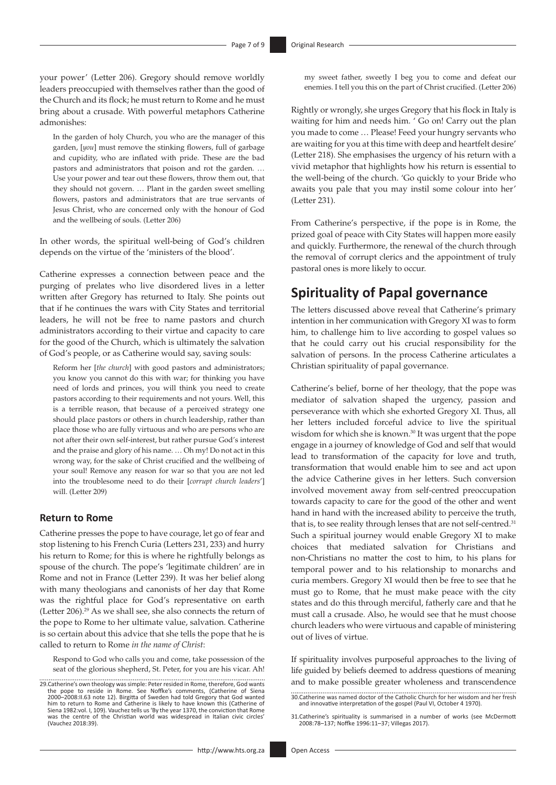your power' (Letter 206). Gregory should remove worldly leaders preoccupied with themselves rather than the good of the Church and its flock; he must return to Rome and he must bring about a crusade. With powerful metaphors Catherine admonishes:

In the garden of holy Church, you who are the manager of this garden, [*you*] must remove the stinking flowers, full of garbage and cupidity, who are inflated with pride. These are the bad pastors and administrators that poison and rot the garden. … Use your power and tear out these flowers, throw them out, that they should not govern. … Plant in the garden sweet smelling flowers, pastors and administrators that are true servants of Jesus Christ, who are concerned only with the honour of God and the wellbeing of souls. (Letter 206)

In other words, the spiritual well-being of God's children depends on the virtue of the 'ministers of the blood'.

Catherine expresses a connection between peace and the purging of prelates who live disordered lives in a letter written after Gregory has returned to Italy. She points out that if he continues the wars with City States and territorial leaders, he will not be free to name pastors and church administrators according to their virtue and capacity to care for the good of the Church, which is ultimately the salvation of God's people, or as Catherine would say, saving souls:

Reform her [*the church*] with good pastors and administrators; you know you cannot do this with war; for thinking you have need of lords and princes, you will think you need to create pastors according to their requirements and not yours. Well, this is a terrible reason, that because of a perceived strategy one should place pastors or others in church leadership, rather than place those who are fully virtuous and who are persons who are not after their own self-interest, but rather pursue God's interest and the praise and glory of his name. … Oh my! Do not act in this wrong way, for the sake of Christ crucified and the wellbeing of your soul! Remove any reason for war so that you are not led into the troublesome need to do their [*corrupt church leaders*'] will. (Letter 209)

#### **Return to Rome**

Catherine presses the pope to have courage, let go of fear and stop listening to his French Curia (Letters 231, 233) and hurry his return to Rome; for this is where he rightfully belongs as spouse of the church. The pope's 'legitimate children' are in Rome and not in France (Letter 239). It was her belief along with many theologians and canonists of her day that Rome was the rightful place for God's representative on earth (Letter 206).29 As we shall see, she also connects the return of the pope to Rome to her ultimate value, salvation. Catherine is so certain about this advice that she tells the pope that he is called to return to Rome *in the name of Christ*:

Respond to God who calls you and come, take possession of the seat of the glorious shepherd, St. Peter, for you are his vicar. Ah! my sweet father, sweetly I beg you to come and defeat our enemies. I tell you this on the part of Christ crucified. (Letter 206)

Rightly or wrongly, she urges Gregory that his flock in Italy is waiting for him and needs him. ' Go on! Carry out the plan you made to come … Please! Feed your hungry servants who are waiting for you at this time with deep and heartfelt desire' (Letter 218). She emphasises the urgency of his return with a vivid metaphor that highlights how his return is essential to the well-being of the church. 'Go quickly to your Bride who awaits you pale that you may instil some colour into her' (Letter 231).

From Catherine's perspective, if the pope is in Rome, the prized goal of peace with City States will happen more easily and quickly. Furthermore, the renewal of the church through the removal of corrupt clerics and the appointment of truly pastoral ones is more likely to occur.

## **Spirituality of Papal governance**

The letters discussed above reveal that Catherine's primary intention in her communication with Gregory XI was to form him, to challenge him to live according to gospel values so that he could carry out his crucial responsibility for the salvation of persons. In the process Catherine articulates a Christian spirituality of papal governance.

Catherine's belief, borne of her theology, that the pope was mediator of salvation shaped the urgency, passion and perseverance with which she exhorted Gregory XI. Thus, all her letters included forceful advice to live the spiritual wisdom for which she is known.<sup>30</sup> It was urgent that the pope engage in a journey of knowledge of God and self that would lead to transformation of the capacity for love and truth, transformation that would enable him to see and act upon the advice Catherine gives in her letters. Such conversion involved movement away from self-centred preoccupation towards capacity to care for the good of the other and went hand in hand with the increased ability to perceive the truth, that is, to see reality through lenses that are not self-centred.<sup>31</sup> Such a spiritual journey would enable Gregory XI to make choices that mediated salvation for Christians and non-Christians no matter the cost to him, to his plans for temporal power and to his relationship to monarchs and curia members. Gregory XI would then be free to see that he must go to Rome, that he must make peace with the city states and do this through merciful, fatherly care and that he must call a crusade. Also, he would see that he must choose church leaders who were virtuous and capable of ministering out of lives of virtue.

If spirituality involves purposeful approaches to the living of life guided by beliefs deemed to address questions of meaning and to make possible greater wholeness and transcendence

<sup>29.</sup>Catherine's own theology was simple: Peter resided in Rome, therefore, God wants the pope to reside in Rome. See Noffke's comments, (Catherine of Siena 2000–2008:II.63 note 12). Birgitta of Sweden had told Gregory that God wanted<br>him to return to Rome and Catherine is likely to have known this (Catherine of<br>Siena 1982:vol. I, 109). Vauchez tells us 'By the year 1370, the was the centre of the Christian world was widespread in Italian civic circles' (Vauchez 2018:39).

<sup>30.</sup>Catherine was named doctor of the Catholic Church for her wisdom and her fresh and innovative interpretation of the gospel (Paul VI, October 4 1970).

<sup>31.</sup>Catherine's spirituality is summarised in a number of works (see McDermott 2008:78–137; Noffke 1996:11–37; Villegas 2017).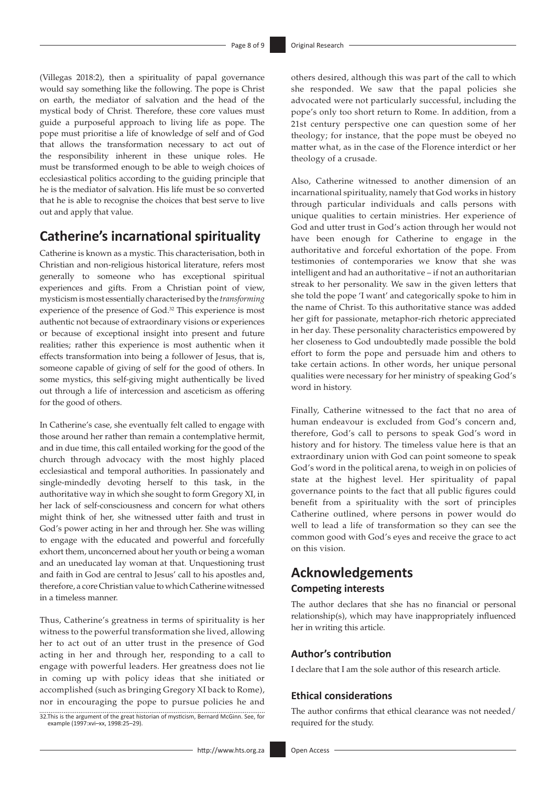(Villegas 2018:2), then a spirituality of papal governance would say something like the following. The pope is Christ on earth, the mediator of salvation and the head of the mystical body of Christ. Therefore, these core values must guide a purposeful approach to living life as pope. The pope must prioritise a life of knowledge of self and of God that allows the transformation necessary to act out of the responsibility inherent in these unique roles. He must be transformed enough to be able to weigh choices of ecclesiastical politics according to the guiding principle that he is the mediator of salvation. His life must be so converted that he is able to recognise the choices that best serve to live out and apply that value.

# **Catherine's incarnational spirituality**

Catherine is known as a mystic. This characterisation, both in Christian and non-religious historical literature, refers most generally to someone who has exceptional spiritual experiences and gifts. From a Christian point of view, mysticism is most essentially characterised by the *transforming* experience of the presence of God.32 This experience is most authentic not because of extraordinary visions or experiences or because of exceptional insight into present and future realities; rather this experience is most authentic when it effects transformation into being a follower of Jesus, that is, someone capable of giving of self for the good of others. In some mystics, this self-giving might authentically be lived out through a life of intercession and asceticism as offering for the good of others.

In Catherine's case, she eventually felt called to engage with those around her rather than remain a contemplative hermit, and in due time, this call entailed working for the good of the church through advocacy with the most highly placed ecclesiastical and temporal authorities. In passionately and single-mindedly devoting herself to this task, in the authoritative way in which she sought to form Gregory XI, in her lack of self-consciousness and concern for what others might think of her, she witnessed utter faith and trust in God's power acting in her and through her. She was willing to engage with the educated and powerful and forcefully exhort them, unconcerned about her youth or being a woman and an uneducated lay woman at that. Unquestioning trust and faith in God are central to Jesus' call to his apostles and, therefore, a core Christian value to which Catherine witnessed in a timeless manner.

Thus, Catherine's greatness in terms of spirituality is her witness to the powerful transformation she lived, allowing her to act out of an utter trust in the presence of God acting in her and through her, responding to a call to engage with powerful leaders. Her greatness does not lie in coming up with policy ideas that she initiated or accomplished (such as bringing Gregory XI back to Rome), nor in encouraging the pope to pursue policies he and 32.This is the argument of the great historian of mysticism, Bernard McGinn. See, for example (1997:xvi–xx, 1998:25–29). others desired, although this was part of the call to which she responded. We saw that the papal policies she advocated were not particularly successful, including the pope's only too short return to Rome. In addition, from a 21st century perspective one can question some of her theology; for instance, that the pope must be obeyed no matter what, as in the case of the Florence interdict or her theology of a crusade.

Also, Catherine witnessed to another dimension of an incarnational spirituality, namely that God works in history through particular individuals and calls persons with unique qualities to certain ministries. Her experience of God and utter trust in God's action through her would not have been enough for Catherine to engage in the authoritative and forceful exhortation of the pope. From testimonies of contemporaries we know that she was intelligent and had an authoritative – if not an authoritarian streak to her personality. We saw in the given letters that she told the pope 'I want' and categorically spoke to him in the name of Christ. To this authoritative stance was added her gift for passionate, metaphor-rich rhetoric appreciated in her day. These personality characteristics empowered by her closeness to God undoubtedly made possible the bold effort to form the pope and persuade him and others to take certain actions. In other words, her unique personal qualities were necessary for her ministry of speaking God's word in history.

Finally, Catherine witnessed to the fact that no area of human endeavour is excluded from God's concern and, therefore, God's call to persons to speak God's word in history and for history. The timeless value here is that an extraordinary union with God can point someone to speak God's word in the political arena, to weigh in on policies of state at the highest level. Her spirituality of papal governance points to the fact that all public figures could benefit from a spirituality with the sort of principles Catherine outlined, where persons in power would do well to lead a life of transformation so they can see the common good with God's eyes and receive the grace to act on this vision.

# **Acknowledgements Competing interests**

The author declares that she has no financial or personal relationship(s), which may have inappropriately influenced her in writing this article.

#### **Author's contribution**

I declare that I am the sole author of this research article.

## **Ethical considerations**

The author confirms that ethical clearance was not needed/ required for the study.